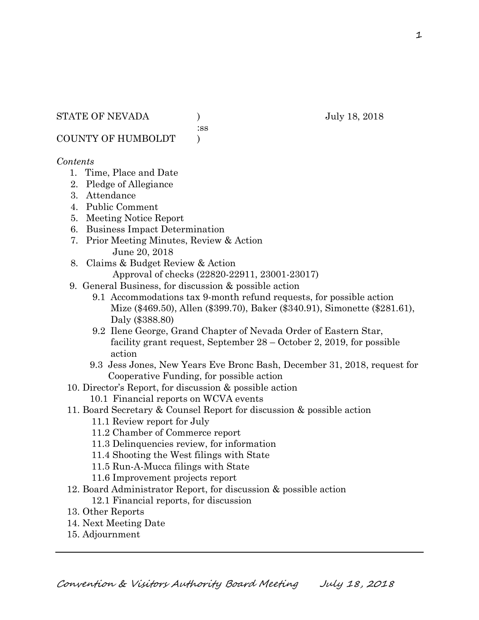COUNTY OF HUMBOLDT )

#### *Contents*

- 1. Time, Place and Date
- 2. Pledge of Allegiance
- 3. Attendance
- 4. Public Comment
- 5. Meeting Notice Report
- 6. Business Impact Determination
- 7. Prior Meeting Minutes, Review & Action June 20, 2018
- 8. Claims & Budget Review & Action
	- Approval of checks (22820-22911, 23001-23017)
- 9. General Business, for discussion & possible action
	- 9.1 Accommodations tax 9-month refund requests, for possible action Mize (\$469.50), Allen (\$399.70), Baker (\$340.91), Simonette (\$281.61), Daly (\$388.80)
	- 9.2 Ilene George, Grand Chapter of Nevada Order of Eastern Star, facility grant request, September 28 – October 2, 2019, for possible action
	- 9.3 Jess Jones, New Years Eve Bronc Bash, December 31, 2018, request for Cooperative Funding, for possible action
- 10. Director's Report, for discussion & possible action
	- 10.1 Financial reports on WCVA events
- 11. Board Secretary & Counsel Report for discussion & possible action
	- 11.1 Review report for July
	- 11.2 Chamber of Commerce report
	- 11.3 Delinquencies review, for information
	- 11.4 Shooting the West filings with State
	- 11.5 Run-A-Mucca filings with State
	- 11.6 Improvement projects report
- 12. Board Administrator Report, for discussion & possible action 12.1 Financial reports, for discussion
- 13. Other Reports
- 14. Next Meeting Date
- 15. Adjournment

# :ss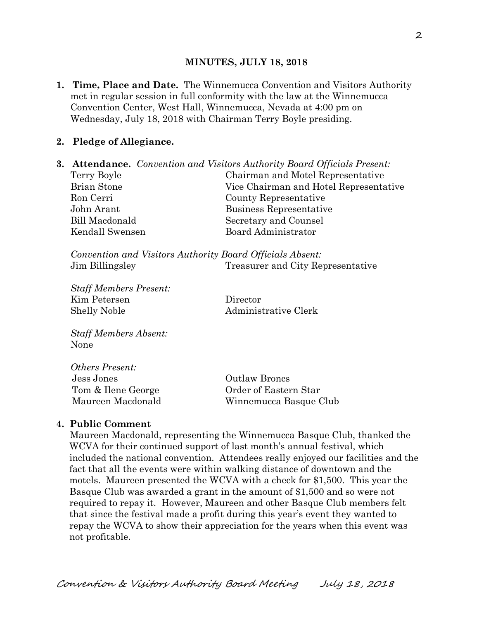#### **MINUTES, JULY 18, 2018**

**1. Time, Place and Date.** The Winnemucca Convention and Visitors Authority met in regular session in full conformity with the law at the Winnemucca Convention Center, West Hall, Winnemucca, Nevada at 4:00 pm on Wednesday, July 18, 2018 with Chairman Terry Boyle presiding.

#### **2. Pledge of Allegiance.**

| Chairman and Motel Representative      |
|----------------------------------------|
| Vice Chairman and Hotel Representative |
|                                        |
|                                        |
|                                        |
|                                        |
|                                        |

*Convention and Visitors Authority Board Officials Absent:*  Jim Billingsley Treasurer and City Representative

*Staff Members Present:*  Kim Petersen Director Shelly Noble Administrative Clerk

*Staff Members Absent:*  None

| <b>Outlaw Broncs</b>   |
|------------------------|
| Order of Eastern Star  |
| Winnemucca Basque Club |
|                        |

#### **4. Public Comment**

*Others Present:* 

Maureen Macdonald, representing the Winnemucca Basque Club, thanked the WCVA for their continued support of last month's annual festival, which included the national convention. Attendees really enjoyed our facilities and the fact that all the events were within walking distance of downtown and the motels. Maureen presented the WCVA with a check for \$1,500. This year the Basque Club was awarded a grant in the amount of \$1,500 and so were not required to repay it. However, Maureen and other Basque Club members felt that since the festival made a profit during this year's event they wanted to repay the WCVA to show their appreciation for the years when this event was not profitable.

Convention & Visitors Authority Board Meeting July 18, 2018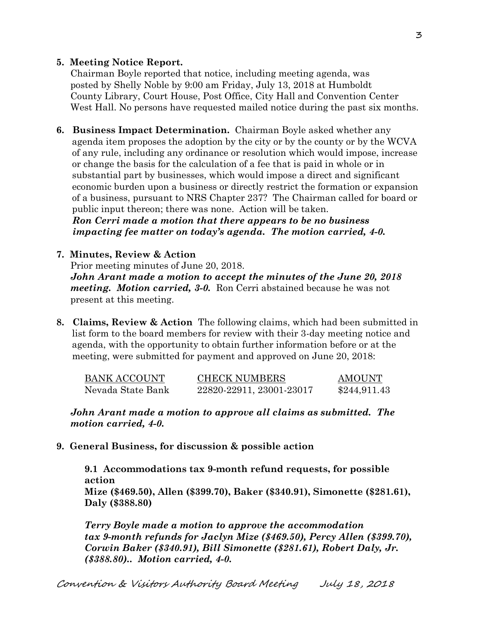#### **5. Meeting Notice Report.**

Chairman Boyle reported that notice, including meeting agenda, was posted by Shelly Noble by 9:00 am Friday, July 13, 2018 at Humboldt County Library, Court House, Post Office, City Hall and Convention Center West Hall. No persons have requested mailed notice during the past six months.

**6. Business Impact Determination.** Chairman Boyle asked whether any agenda item proposes the adoption by the city or by the county or by the WCVA of any rule, including any ordinance or resolution which would impose, increase or change the basis for the calculation of a fee that is paid in whole or in substantial part by businesses, which would impose a direct and significant economic burden upon a business or directly restrict the formation or expansion of a business, pursuant to NRS Chapter 237? The Chairman called for board or public input thereon; there was none. Action will be taken.

 *Ron Cerri made a motion that there appears to be no business impacting fee matter on today's agenda. The motion carried, 4-0.* 

#### **7. Minutes, Review & Action**

Prior meeting minutes of June 20, 2018. *John Arant made a motion to accept the minutes of the June 20, 2018 meeting. Motion carried, 3-0.* Ron Cerri abstained because he was not present at this meeting.

**8. Claims, Review & Action** The following claims, which had been submitted in list form to the board members for review with their 3-day meeting notice and agenda, with the opportunity to obtain further information before or at the meeting, were submitted for payment and approved on June 20, 2018:

| <b>BANK ACCOUNT</b> | <b>CHECK NUMBERS</b>     | <b>AMOUNT</b> |
|---------------------|--------------------------|---------------|
| Nevada State Bank   | 22820-22911, 23001-23017 | \$244,911.43  |

#### *John Arant made a motion to approve all claims as submitted. The motion carried, 4-0.*

**9. General Business, for discussion & possible action** 

**9.1 Accommodations tax 9-month refund requests, for possible action Mize (\$469.50), Allen (\$399.70), Baker (\$340.91), Simonette (\$281.61), Daly (\$388.80)**

*Terry Boyle made a motion to approve the accommodation tax 9-month refunds for Jaclyn Mize (\$469.50), Percy Allen (\$399.70), Corwin Baker (\$340.91), Bill Simonette (\$281.61), Robert Daly, Jr. (\$388.80).. Motion carried, 4-0.*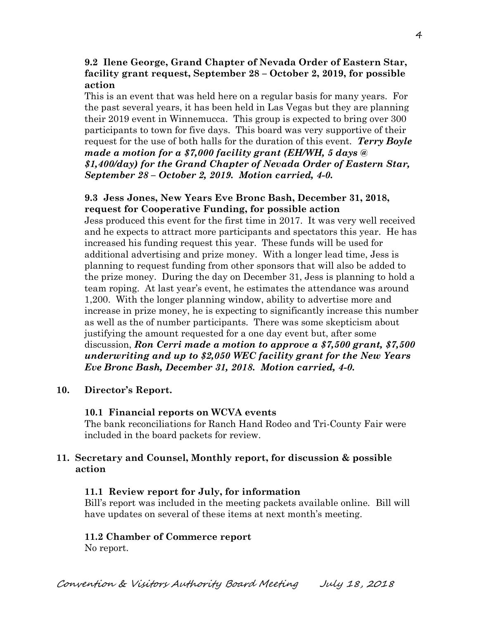#### **9.2 Ilene George, Grand Chapter of Nevada Order of Eastern Star, facility grant request, September 28 – October 2, 2019, for possible action**

This is an event that was held here on a regular basis for many years. For the past several years, it has been held in Las Vegas but they are planning their 2019 event in Winnemucca. This group is expected to bring over 300 participants to town for five days. This board was very supportive of their request for the use of both halls for the duration of this event. *Terry Boyle made a motion for a \$7,000 facility grant (EH/WH, 5 days @ \$1,400/day) for the Grand Chapter of Nevada Order of Eastern Star, September 28 – October 2, 2019. Motion carried, 4-0.*

#### **9.3 Jess Jones, New Years Eve Bronc Bash, December 31, 2018, request for Cooperative Funding, for possible action**

Jess produced this event for the first time in 2017. It was very well received and he expects to attract more participants and spectators this year. He has increased his funding request this year. These funds will be used for additional advertising and prize money. With a longer lead time, Jess is planning to request funding from other sponsors that will also be added to the prize money. During the day on December 31, Jess is planning to hold a team roping. At last year's event, he estimates the attendance was around 1,200. With the longer planning window, ability to advertise more and increase in prize money, he is expecting to significantly increase this number as well as the of number participants. There was some skepticism about justifying the amount requested for a one day event but, after some discussion, *Ron Cerri made a motion to approve a \$7,500 grant, \$7,500 underwriting and up to \$2,050 WEC facility grant for the New Years Eve Bronc Bash, December 31, 2018. Motion carried, 4-0.*

#### **10. Director's Report.**

#### **10.1 Financial reports on WCVA events**

The bank reconciliations for Ranch Hand Rodeo and Tri-County Fair were included in the board packets for review.

#### **11. Secretary and Counsel, Monthly report, for discussion & possible action**

#### **11.1 Review report for July, for information**

Bill's report was included in the meeting packets available online. Bill will have updates on several of these items at next month's meeting.

#### **11.2 Chamber of Commerce report**

No report.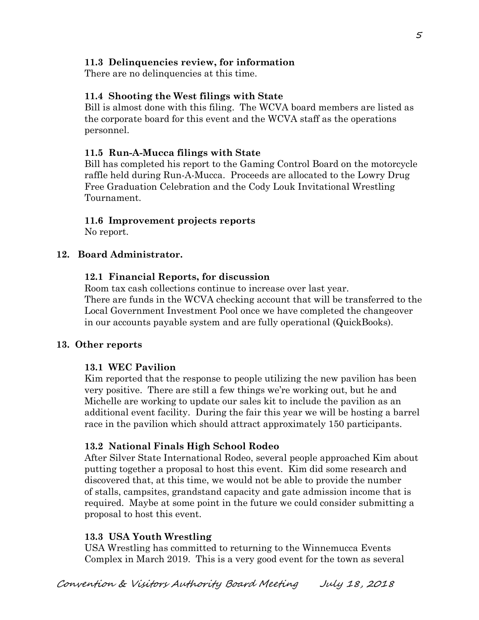## **11.3 Delinquencies review, for information**

There are no delinquencies at this time.

## **11.4 Shooting the West filings with State**

Bill is almost done with this filing. The WCVA board members are listed as the corporate board for this event and the WCVA staff as the operations personnel.

## **11.5 Run-A-Mucca filings with State**

Bill has completed his report to the Gaming Control Board on the motorcycle raffle held during Run-A-Mucca. Proceeds are allocated to the Lowry Drug Free Graduation Celebration and the Cody Louk Invitational Wrestling Tournament.

## **11.6 Improvement projects reports**

No report.

## **12. Board Administrator.**

## **12.1 Financial Reports, for discussion**

Room tax cash collections continue to increase over last year. There are funds in the WCVA checking account that will be transferred to the Local Government Investment Pool once we have completed the changeover in our accounts payable system and are fully operational (QuickBooks).

## **13. Other reports**

## **13.1 WEC Pavilion**

Kim reported that the response to people utilizing the new pavilion has been very positive. There are still a few things we're working out, but he and Michelle are working to update our sales kit to include the pavilion as an additional event facility. During the fair this year we will be hosting a barrel race in the pavilion which should attract approximately 150 participants.

## **13.2 National Finals High School Rodeo**

After Silver State International Rodeo, several people approached Kim about putting together a proposal to host this event. Kim did some research and discovered that, at this time, we would not be able to provide the number of stalls, campsites, grandstand capacity and gate admission income that is required. Maybe at some point in the future we could consider submitting a proposal to host this event.

## **13.3 USA Youth Wrestling**

USA Wrestling has committed to returning to the Winnemucca Events Complex in March 2019. This is a very good event for the town as several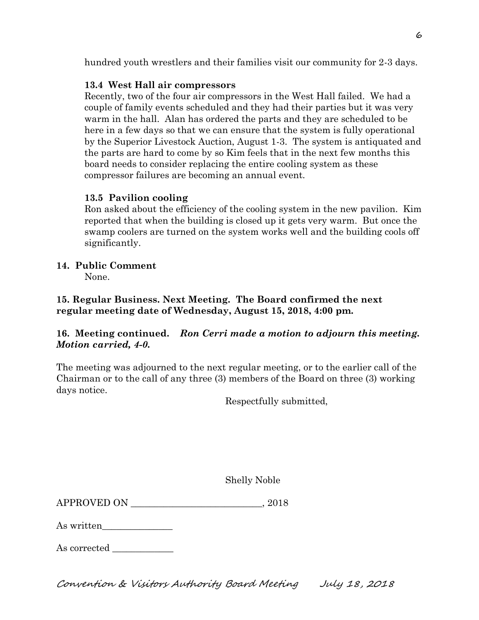hundred youth wrestlers and their families visit our community for 2-3 days.

## **13.4 West Hall air compressors**

Recently, two of the four air compressors in the West Hall failed. We had a couple of family events scheduled and they had their parties but it was very warm in the hall. Alan has ordered the parts and they are scheduled to be here in a few days so that we can ensure that the system is fully operational by the Superior Livestock Auction, August 1-3. The system is antiquated and the parts are hard to come by so Kim feels that in the next few months this board needs to consider replacing the entire cooling system as these compressor failures are becoming an annual event.

## **13.5 Pavilion cooling**

Ron asked about the efficiency of the cooling system in the new pavilion. Kim reported that when the building is closed up it gets very warm. But once the swamp coolers are turned on the system works well and the building cools off significantly.

## **14. Public Comment**

None.

**15. Regular Business. Next Meeting. The Board confirmed the next regular meeting date of Wednesday, August 15, 2018, 4:00 pm.** 

## **16. Meeting continued.** *Ron Cerri made a motion to adjourn this meeting. Motion carried, 4-0.*

The meeting was adjourned to the next regular meeting, or to the earlier call of the Chairman or to the call of any three (3) members of the Board on three (3) working days notice.

Respectfully submitted,

Shelly Noble

APPROVED ON \_\_\_\_\_\_\_\_\_\_\_\_\_\_\_\_\_\_\_\_\_\_\_\_\_\_\_\_, 2018

As written\_\_\_\_\_\_\_\_\_\_\_\_\_\_\_

As corrected

Convention & Visitors Authority Board Meeting July 18, 2018